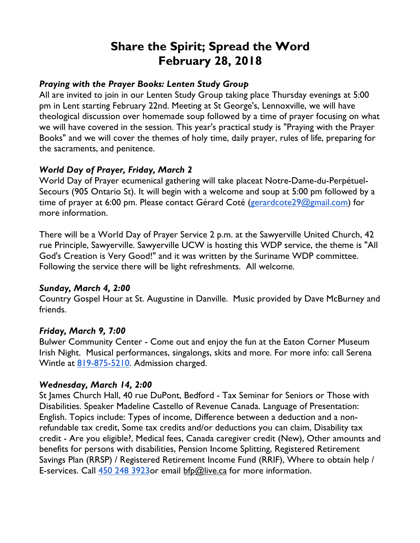# **Share the Spirit; Spread the Word February 28, 2018**

#### *Praying with the Prayer Books: Lenten Study Group*

All are invited to join in our Lenten Study Group taking place Thursday evenings at 5:00 pm in Lent starting February 22nd. Meeting at St George's, Lennoxville, we will have theological discussion over homemade soup followed by a time of prayer focusing on what we will have covered in the session. This year's practical study is "Praying with the Prayer Books" and we will cover the themes of holy time, daily prayer, rules of life, preparing for the sacraments, and penitence.

### *World Day of Prayer, Friday, March 2*

World Day of Prayer ecumenical gathering will take placeat Notre-Dame-du-Perpétuel-Secours (905 Ontario St). It will begin with a welcome and soup at 5:00 pm followed by a time of prayer at 6:00 pm. Please contact Gérard Coté (gerardcote29@gmail.com) for more information.

There will be a World Day of Prayer Service 2 p.m. at the Sawyerville United Church, 42 rue Principle, Sawyerville. Sawyerville UCW is hosting this WDP service, the theme is "All God's Creation is Very Good!" and it was written by the Suriname WDP committee. Following the service there will be light refreshments. All welcome.

### *Sunday, March 4, 2:00*

Country Gospel Hour at St. Augustine in Danville. Music provided by Dave McBurney and friends.

### *Friday, March 9, 7:00*

Bulwer Community Center - Come out and enjoy the fun at the Eaton Corner Museum Irish Night. Musical performances, singalongs, skits and more. For more info: call Serena Wintle at 819-875-5210. Admission charged.

### *Wednesday, March 14, 2:00*

St James Church Hall, 40 rue DuPont, Bedford - Tax Seminar for Seniors or Those with Disabilities. Speaker Madeline Castello of Revenue Canada. Language of Presentation: English. Topics include: Types of income, Difference between a deduction and a nonrefundable tax credit, Some tax credits and/or deductions you can claim, Disability tax credit - Are you eligible?, Medical fees, Canada caregiver credit (New), Other amounts and benefits for persons with disabilities, Pension Income Splitting, Registered Retirement Savings Plan (RRSP) / Registered Retirement Income Fund (RRIF), Where to obtain help / E-services. Call 450 248 3923 or email bfp@live.ca for more information.